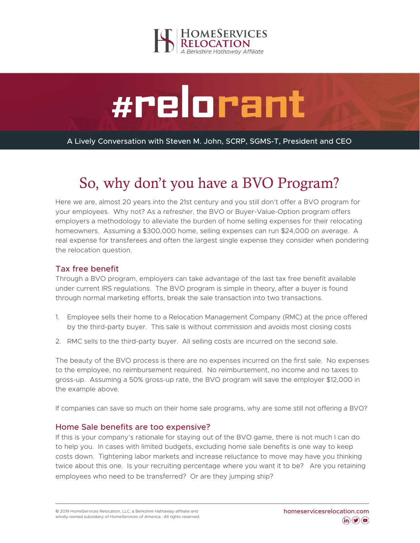



A Lively Conversation with Steven M. John, SCRP, SGMS-T, President and CEO

# So, why don't you have a BVO Program?

Here we are, almost 20 years into the 21st century and you still don't offer a BVO program for your employees. Why not? As a refresher, the BVO or Buyer-Value-Option program offers employers a methodology to alleviate the burden of home selling expenses for their relocating homeowners. Assuming a \$300,000 home, selling expenses can run \$24,000 on average. A real expense for transferees and often the largest single expense they consider when pondering the relocation question.

# Tax free benefit

Through a BVO program, employers can take advantage of the last tax free benefit available under current IRS regulations. The BVO program is simple in theory, after a buyer is found through normal marketing efforts, break the sale transaction into two transactions.

- 1. Employee sells their home to a Relocation Management Company (RMC) at the price offered by the third-party buyer. This sale is without commission and avoids most closing costs
- 2. RMC sells to the third-party buyer. All selling costs are incurred on the second sale.

The beauty of the BVO process is there are no expenses incurred on the first sale. No expenses to the employee, no reimbursement required. No reimbursement, no income and no taxes to gross-up. Assuming a 50% gross-up rate, the BVO program will save the employer \$12,000 in the example above.

If companies can save so much on their home sale programs, why are some still not offering a BVO?

### Home Sale benefits are too expensive?

If this is your company's rationale for staying out of the BVO game, there is not much I can do to help you. In cases with limited budgets, excluding home sale benefits is one way to keep costs down. Tightening labor markets and increase reluctance to move may have you thinking twice about this one. Is your recruiting percentage where you want it to be? Are you retaining employees who need to be transferred? Or are they jumping ship?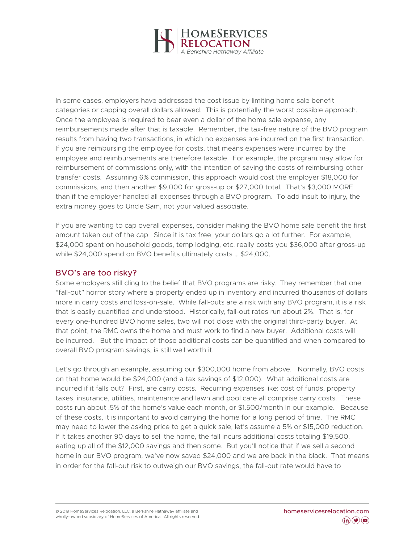

In some cases, employers have addressed the cost issue by limiting home sale benefit categories or capping overall dollars allowed. This is potentially the worst possible approach. Once the employee is required to bear even a dollar of the home sale expense, any reimbursements made after that is taxable. Remember, the tax-free nature of the BVO program results from having two transactions, in which no expenses are incurred on the first transaction. If you are reimbursing the employee for costs, that means expenses were incurred by the employee and reimbursements are therefore taxable. For example, the program may allow for reimbursement of commissions only, with the intention of saving the costs of reimbursing other transfer costs. Assuming 6% commission, this approach would cost the employer \$18,000 for commissions, and then another \$9,000 for gross-up or \$27,000 total. That's \$3,000 MORE than if the employer handled all expenses through a BVO program. To add insult to injury, the extra money goes to Uncle Sam, not your valued associate.

If you are wanting to cap overall expenses, consider making the BVO home sale benefit the first amount taken out of the cap. Since it is tax free, your dollars go a lot further. For example, \$24,000 spent on household goods, temp lodging, etc. really costs you \$36,000 after gross-up while \$24,000 spend on BVO benefits ultimately costs … \$24,000.

### BVO's are too risky?

Some employers still cling to the belief that BVO programs are risky. They remember that one "fall-out" horror story where a property ended up in inventory and incurred thousands of dollars more in carry costs and loss-on-sale. While fall-outs are a risk with any BVO program, it is a risk that is easily quantified and understood. Historically, fall-out rates run about 2%. That is, for every one-hundred BVO home sales, two will not close with the original third-party buyer. At that point, the RMC owns the home and must work to find a new buyer. Additional costs will be incurred. But the impact of those additional costs can be quantified and when compared to overall BVO program savings, is still well worth it.

Let's go through an example, assuming our \$300,000 home from above. Normally, BVO costs on that home would be \$24,000 (and a tax savings of \$12,000). What additional costs are incurred if it falls out? First, are carry costs. Recurring expenses like: cost of funds, property taxes, insurance, utilities, maintenance and lawn and pool care all comprise carry costs. These costs run about .5% of the home's value each month, or \$1.500/month in our example. Because of these costs, it is important to avoid carrying the home for a long period of time. The RMC may need to lower the asking price to get a quick sale, let's assume a 5% or \$15,000 reduction. If it takes another 90 days to sell the home, the fall incurs additional costs totaling \$19,500, eating up all of the \$12,000 savings and then some. But you'll notice that if we sell a second home in our BVO program, we've now saved \$24,000 and we are back in the black. That means in order for the fall-out risk to outweigh our BVO savings, the fall-out rate would have to